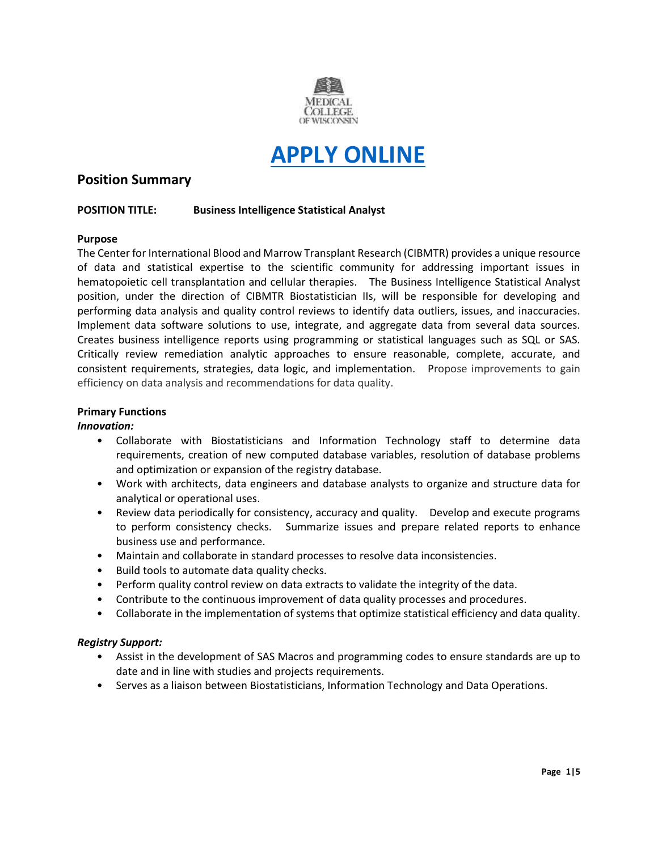

# **[APPLY ONLINE](https://careers.peopleclick.com/careerscp/client_medcollegewi/external_staff/gateway.do?functionName=viewFromLink&jobPostId=23135&localeCode=en-us)**

# **Position Summary**

# **POSITION TITLE: Business Intelligence Statistical Analyst**

# **Purpose**

The Center for International Blood and Marrow Transplant Research (CIBMTR) provides a unique resource of data and statistical expertise to the scientific community for addressing important issues in hematopoietic cell transplantation and cellular therapies. The Business Intelligence Statistical Analyst position, under the direction of CIBMTR Biostatistician IIs, will be responsible for developing and performing data analysis and quality control reviews to identify data outliers, issues, and inaccuracies. Implement data software solutions to use, integrate, and aggregate data from several data sources. Creates business intelligence reports using programming or statistical languages such as SQL or SAS. Critically review remediation analytic approaches to ensure reasonable, complete, accurate, and consistent requirements, strategies, data logic, and implementation. Propose improvements to gain efficiency on data analysis and recommendations for data quality.

# **Primary Functions**

#### *Innovation:*

- Collaborate with Biostatisticians and Information Technology staff to determine data requirements, creation of new computed database variables, resolution of database problems and optimization or expansion of the registry database.
- Work with architects, data engineers and database analysts to organize and structure data for analytical or operational uses.
- Review data periodically for consistency, accuracy and quality. Develop and execute programs to perform consistency checks. Summarize issues and prepare related reports to enhance business use and performance.
- Maintain and collaborate in standard processes to resolve data inconsistencies.
- Build tools to automate data quality checks.
- Perform quality control review on data extracts to validate the integrity of the data.
- Contribute to the continuous improvement of data quality processes and procedures.
- Collaborate in the implementation of systems that optimize statistical efficiency and data quality.

# *Registry Support:*

- Assist in the development of SAS Macros and programming codes to ensure standards are up to date and in line with studies and projects requirements.
- Serves as a liaison between Biostatisticians, Information Technology and Data Operations.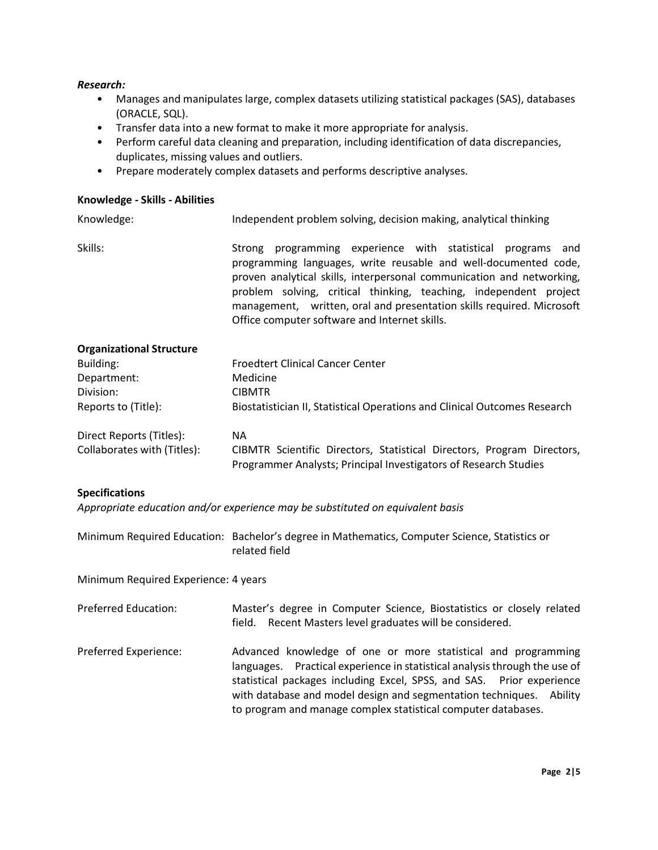# *Research:*

- Manages and manipulates large, complex datasets utilizing statistical packages (SAS), databases (ORACLE, SQL).
- Transfer data into a new format to make it more appropriate for analysis.
- Perform careful data cleaning and preparation, including identification of data discrepancies, duplicates, missing values and outliers.
- Prepare moderately complex datasets and performs descriptive analyses.

# **Knowledge - Skills - Abilities**

| Knowledge:                      | Independent problem solving, decision making, analytical thinking                                                                                                                                                                                                                                                                                                                                      |
|---------------------------------|--------------------------------------------------------------------------------------------------------------------------------------------------------------------------------------------------------------------------------------------------------------------------------------------------------------------------------------------------------------------------------------------------------|
| Skills:                         | Strong programming experience with statistical programs and<br>programming languages, write reusable and well-documented code,<br>proven analytical skills, interpersonal communication and networking,<br>problem solving, critical thinking, teaching, independent project<br>management, written, oral and presentation skills required. Microsoft<br>Office computer software and Internet skills. |
| <b>Organizational Structure</b> |                                                                                                                                                                                                                                                                                                                                                                                                        |
| Building:                       | Froedtert Clinical Cancer Center                                                                                                                                                                                                                                                                                                                                                                       |
| Department:                     | Medicine                                                                                                                                                                                                                                                                                                                                                                                               |
| Division:                       | <b>CIBMTR</b>                                                                                                                                                                                                                                                                                                                                                                                          |
| Reports to (Title):             | Biostatistician II, Statistical Operations and Clinical Outcomes Research                                                                                                                                                                                                                                                                                                                              |
| Direct Reports (Titles):        | NA.                                                                                                                                                                                                                                                                                                                                                                                                    |
| Collaborates with (Titles):     | CIBMTR Scientific Directors, Statistical Directors, Program Directors,                                                                                                                                                                                                                                                                                                                                 |

Programmer Analysts; Principal Investigators of Research Studies

#### **Specifications**

*Appropriate education and/or experience may be substituted on equivalent basis*

|                                      | Minimum Required Education: Bachelor's degree in Mathematics, Computer Science, Statistics or<br>related field                                                                                                                                                                                                                                                  |  |
|--------------------------------------|-----------------------------------------------------------------------------------------------------------------------------------------------------------------------------------------------------------------------------------------------------------------------------------------------------------------------------------------------------------------|--|
| Minimum Required Experience: 4 years |                                                                                                                                                                                                                                                                                                                                                                 |  |
| <b>Preferred Education:</b>          | Master's degree in Computer Science, Biostatistics or closely related<br>Recent Masters level graduates will be considered.<br>field.                                                                                                                                                                                                                           |  |
| Preferred Experience:                | Advanced knowledge of one or more statistical and programming<br>languages. Practical experience in statistical analysis through the use of<br>statistical packages including Excel, SPSS, and SAS. Prior experience<br>with database and model design and segmentation techniques.<br>Ability<br>to program and manage complex statistical computer databases. |  |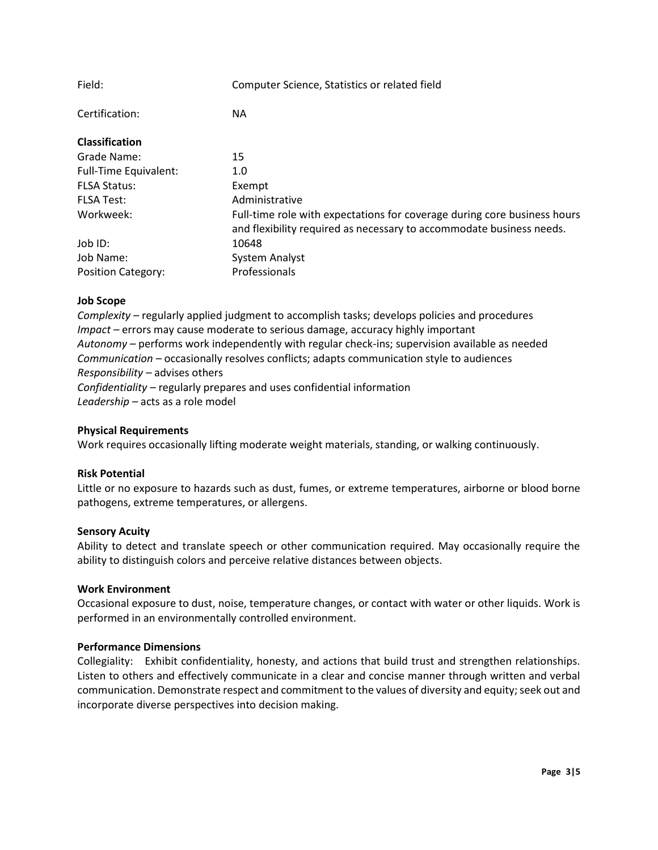| Field:                       | Computer Science, Statistics or related field                                                                                                    |
|------------------------------|--------------------------------------------------------------------------------------------------------------------------------------------------|
| Certification:               | NA.                                                                                                                                              |
| <b>Classification</b>        |                                                                                                                                                  |
| Grade Name:                  | 15                                                                                                                                               |
| <b>Full-Time Equivalent:</b> | 1.0                                                                                                                                              |
| <b>FLSA Status:</b>          | Exempt                                                                                                                                           |
| <b>FLSA Test:</b>            | Administrative                                                                                                                                   |
| Workweek:                    | Full-time role with expectations for coverage during core business hours<br>and flexibility required as necessary to accommodate business needs. |
| Job ID:                      | 10648                                                                                                                                            |
| Job Name:                    | System Analyst                                                                                                                                   |
| <b>Position Category:</b>    | Professionals                                                                                                                                    |

# **Job Scope**

*Complexity –* regularly applied judgment to accomplish tasks; develops policies and procedures *Impact –* errors may cause moderate to serious damage, accuracy highly important *Autonomy –* performs work independently with regular check-ins; supervision available as needed *Communication –* occasionally resolves conflicts; adapts communication style to audiences *Responsibility –* advises others *Confidentiality –* regularly prepares and uses confidential information *Leadership –* acts as a role model

# **Physical Requirements**

Work requires occasionally lifting moderate weight materials, standing, or walking continuously.

#### **Risk Potential**

Little or no exposure to hazards such as dust, fumes, or extreme temperatures, airborne or blood borne pathogens, extreme temperatures, or allergens.

#### **Sensory Acuity**

Ability to detect and translate speech or other communication required. May occasionally require the ability to distinguish colors and perceive relative distances between objects.

#### **Work Environment**

Occasional exposure to dust, noise, temperature changes, or contact with water or other liquids. Work is performed in an environmentally controlled environment.

#### **Performance Dimensions**

Collegiality: Exhibit confidentiality, honesty, and actions that build trust and strengthen relationships. Listen to others and effectively communicate in a clear and concise manner through written and verbal communication. Demonstrate respect and commitment to the values of diversity and equity; seek out and incorporate diverse perspectives into decision making.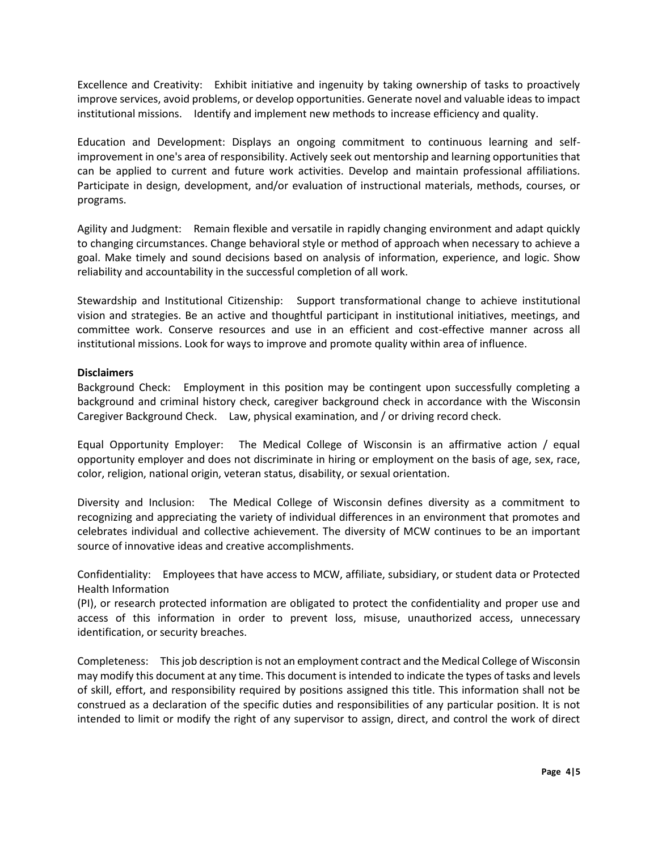Excellence and Creativity: Exhibit initiative and ingenuity by taking ownership of tasks to proactively improve services, avoid problems, or develop opportunities. Generate novel and valuable ideas to impact institutional missions. Identify and implement new methods to increase efficiency and quality.

Education and Development: Displays an ongoing commitment to continuous learning and selfimprovement in one's area of responsibility. Actively seek out mentorship and learning opportunities that can be applied to current and future work activities. Develop and maintain professional affiliations. Participate in design, development, and/or evaluation of instructional materials, methods, courses, or programs.

Agility and Judgment: Remain flexible and versatile in rapidly changing environment and adapt quickly to changing circumstances. Change behavioral style or method of approach when necessary to achieve a goal. Make timely and sound decisions based on analysis of information, experience, and logic. Show reliability and accountability in the successful completion of all work.

Stewardship and Institutional Citizenship: Support transformational change to achieve institutional vision and strategies. Be an active and thoughtful participant in institutional initiatives, meetings, and committee work. Conserve resources and use in an efficient and cost-effective manner across all institutional missions. Look for ways to improve and promote quality within area of influence.

# **Disclaimers**

Background Check: Employment in this position may be contingent upon successfully completing a background and criminal history check, caregiver background check in accordance with the Wisconsin Caregiver Background Check. Law, physical examination, and / or driving record check.

Equal Opportunity Employer: The Medical College of Wisconsin is an affirmative action / equal opportunity employer and does not discriminate in hiring or employment on the basis of age, sex, race, color, religion, national origin, veteran status, disability, or sexual orientation.

Diversity and Inclusion: The Medical College of Wisconsin defines diversity as a commitment to recognizing and appreciating the variety of individual differences in an environment that promotes and celebrates individual and collective achievement. The diversity of MCW continues to be an important source of innovative ideas and creative accomplishments.

Confidentiality: Employees that have access to MCW, affiliate, subsidiary, or student data or Protected Health Information

(PI), or research protected information are obligated to protect the confidentiality and proper use and access of this information in order to prevent loss, misuse, unauthorized access, unnecessary identification, or security breaches.

Completeness: This job description is not an employment contract and the Medical College of Wisconsin may modify this document at any time. This document is intended to indicate the types of tasks and levels of skill, effort, and responsibility required by positions assigned this title. This information shall not be construed as a declaration of the specific duties and responsibilities of any particular position. It is not intended to limit or modify the right of any supervisor to assign, direct, and control the work of direct